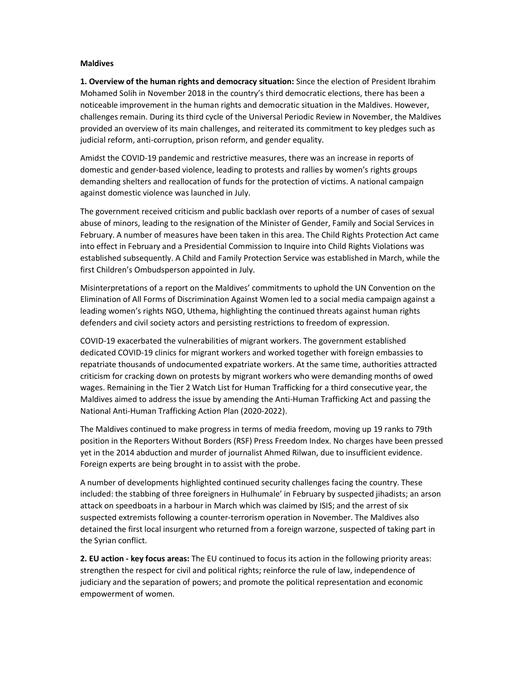## Maldives

1. Overview of the human rights and democracy situation: Since the election of President Ibrahim Mohamed Solih in November 2018 in the country's third democratic elections, there has been a noticeable improvement in the human rights and democratic situation in the Maldives. However, challenges remain. During its third cycle of the Universal Periodic Review in November, the Maldives provided an overview of its main challenges, and reiterated its commitment to key pledges such as judicial reform, anti-corruption, prison reform, and gender equality.

Amidst the COVID-19 pandemic and restrictive measures, there was an increase in reports of domestic and gender-based violence, leading to protests and rallies by women's rights groups demanding shelters and reallocation of funds for the protection of victims. A national campaign against domestic violence was launched in July.

The government received criticism and public backlash over reports of a number of cases of sexual abuse of minors, leading to the resignation of the Minister of Gender, Family and Social Services in February. A number of measures have been taken in this area. The Child Rights Protection Act came into effect in February and a Presidential Commission to Inquire into Child Rights Violations was established subsequently. A Child and Family Protection Service was established in March, while the first Children's Ombudsperson appointed in July.

Misinterpretations of a report on the Maldives' commitments to uphold the UN Convention on the Elimination of All Forms of Discrimination Against Women led to a social media campaign against a leading women's rights NGO, Uthema, highlighting the continued threats against human rights defenders and civil society actors and persisting restrictions to freedom of expression.

COVID-19 exacerbated the vulnerabilities of migrant workers. The government established dedicated COVID-19 clinics for migrant workers and worked together with foreign embassies to repatriate thousands of undocumented expatriate workers. At the same time, authorities attracted criticism for cracking down on protests by migrant workers who were demanding months of owed wages. Remaining in the Tier 2 Watch List for Human Trafficking for a third consecutive year, the Maldives aimed to address the issue by amending the Anti-Human Trafficking Act and passing the National Anti-Human Trafficking Action Plan (2020-2022).

The Maldives continued to make progress in terms of media freedom, moving up 19 ranks to 79th position in the Reporters Without Borders (RSF) Press Freedom Index. No charges have been pressed yet in the 2014 abduction and murder of journalist Ahmed Rilwan, due to insufficient evidence. Foreign experts are being brought in to assist with the probe.

A number of developments highlighted continued security challenges facing the country. These included: the stabbing of three foreigners in Hulhumale' in February by suspected jihadists; an arson attack on speedboats in a harbour in March which was claimed by ISIS; and the arrest of six suspected extremists following a counter-terrorism operation in November. The Maldives also detained the first local insurgent who returned from a foreign warzone, suspected of taking part in the Syrian conflict.

2. EU action - key focus areas: The EU continued to focus its action in the following priority areas: strengthen the respect for civil and political rights; reinforce the rule of law, independence of judiciary and the separation of powers; and promote the political representation and economic empowerment of women.